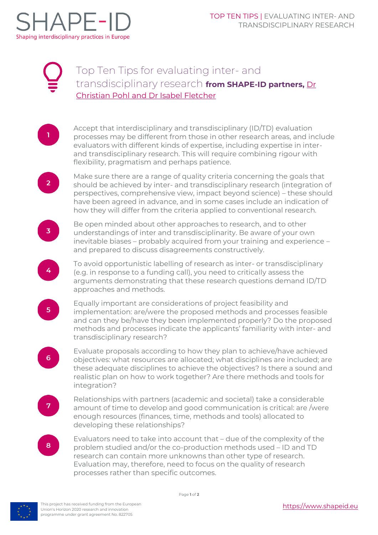

 $\mathbf{1}$ 

 $2<sup>1</sup>$ 

 $\overline{3}$ 

4

 $5<sup>1</sup>$ 

 $6<sup>1</sup>$ 

## Top Ten Tips for evaluating inter- and transdisciplinary research **from SHAPE-ID partners,** [Dr](#page-1-0) Christian Pohl [and Dr Isabel Fletcher](#page-1-0)

Accept that interdisciplinary and transdisciplinary (ID/TD) evaluation processes may be different from those in other research areas, and include evaluators with different kinds of expertise, including expertise in interand transdisciplinary research. This will require combining rigour with flexibility, pragmatism and perhaps patience.

Make sure there are a range of quality criteria concerning the goals that should be achieved by inter- and transdisciplinary research (integration of perspectives, comprehensive view, impact beyond science) – these should have been agreed in advance, and in some cases include an indication of how they will differ from the criteria applied to conventional research.

Be open minded about other approaches to research, and to other understandings of inter and transdisciplinarity. Be aware of your own inevitable biases – probably acquired from your training and experience – and prepared to discuss disagreements constructively.

To avoid opportunistic labelling of research as inter- or transdisciplinary (e.g. in response to a funding call), you need to critically assess the arguments demonstrating that these research questions demand ID/TD approaches and methods.

Equally important are considerations of project feasibility and implementation: are/were the proposed methods and processes feasible and can they be/have they been implemented properly? Do the proposed methods and processes indicate the applicants' familiarity with inter- and transdisciplinary research?

Evaluate proposals according to how they plan to achieve/have achieved objectives: what resources are allocated; what disciplines are included; are these adequate disciplines to achieve the objectives? Is there a sound and realistic plan on how to work together? Are there methods and tools for integration?

 $7<sup>1</sup>$ 

Relationships with partners (academic and societal) take a considerable amount of time to develop and good communication is critical: are /were enough resources (finances, time, methods and tools) allocated to developing these relationships?



Evaluators need to take into account that – due of the complexity of the problem studied and/or the co-production methods used – ID and TD research can contain more unknowns than other type of research. Evaluation may, therefore, need to focus on the quality of research processes rather than specific outcomes.